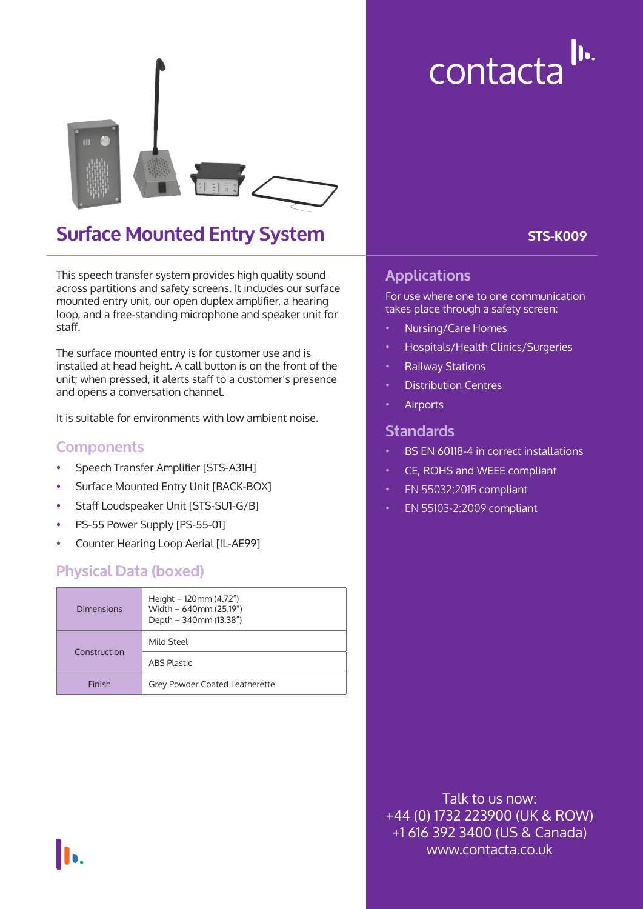

## **Surface Mounted Entry System**

This speech transfer system provides high quality sound across partitions and safety screens. It includes our surface mounted entry unit, our open duplex amplifier, a hearing loop, and a free-standing microphone and speaker unit for staff.

The surface mounted entry is for customer use and is installed at head height. A call button is on the front of the unit; when pressed, it alerts staff to a customer's presence and opens a conversation channel.

It is suitable for environments with low ambient noise.

#### **Components**

- Speech Transfer Amplifier [STS-A31H]
- Surface Mounted Entry Unit [BACK-BOX]
- Staff Loudspeaker Unit [STS-SU1-G/B]
- PS-55 Power Supply [PS-55-01]
- Counter Hearing Loop Aerial [IL-AE99]

#### **Physical Data (boxed)**

| Dimensions   | Height $-120$ mm (4.72")<br>Width - 640mm (25.19")<br>Depth - 340mm (13.38") |  |
|--------------|------------------------------------------------------------------------------|--|
| Construction | Mild Steel                                                                   |  |
|              | <b>ABS Plastic</b>                                                           |  |
| Finish       | Grey Powder Coated Leatherette                                               |  |

contacta<sup>lu.</sup>

**STS-K009**

#### **Applications**

For use where one to one communication takes place through a safety screen:

- Nursing/Care Homes
- Hospitals/Health Clinics/Surgeries
- Railway Stations
- Distribution Centres
- **Airports**

#### **Standards**

- BS EN 60118-4 in correct installations
- CE, ROHS and WEEE compliant
- EN 55032:2015 compliant
- EN 55103-2:2009 compliant

Talk to us now: +44 (0) 1732 223900 (UK & ROW) +1 616 392 3400 (US & Canada) www.contacta.co.uk